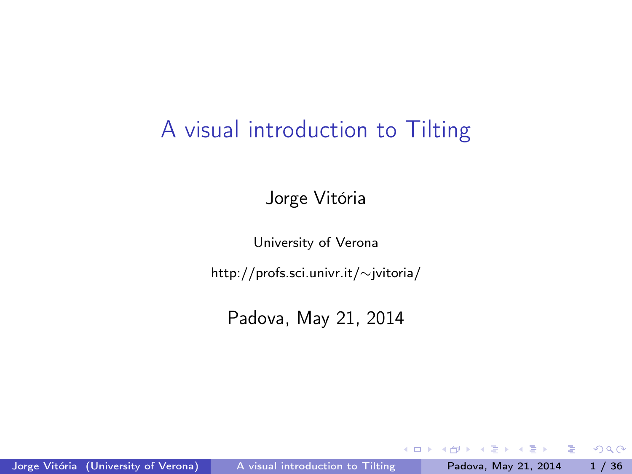### <span id="page-0-0"></span>A visual introduction to Tilting

Jorge Vitória

University of Verona

http://profs.sci.univr.it/∼jvitoria/

Padova, May 21, 2014

不自下

 $298$ 

÷.

ヨメ メラメ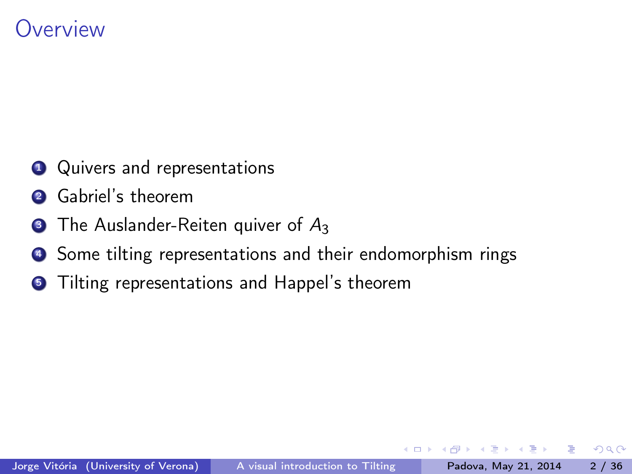### **Overview**

- **1** Quivers and representations
- <sup>2</sup> Gabriel's theorem
- $\bullet$  The Auslander-Reiten quiver of  $A_3$
- <sup>4</sup> Some tilting representations and their endomorphism rings
- **Tilting representations and Happel's theorem**

 $QQ$ 

э.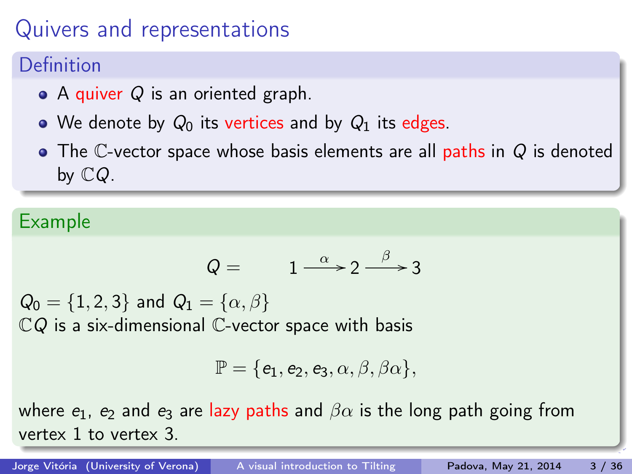#### Definition

- A quiver Q is an oriented graph.
- We denote by  $Q_0$  its vertices and by  $Q_1$  its edges.
- $\bullet$  The C-vector space whose basis elements are all paths in  $Q$  is denoted by  $\mathbb{C} Q$ .

#### Example

$$
Q = 1 \xrightarrow{\alpha} 2 \xrightarrow{\beta} 3
$$

 $Q_0 = \{1, 2, 3\}$  and  $Q_1 = \{\alpha, \beta\}$  $\mathbb{C} Q$  is a six-dimensional  $\mathbb{C}$ -vector space with basis

$$
\mathbb{P} = \{e_1, e_2, e_3, \alpha, \beta, \beta\alpha\},\
$$

where  $e_1$ ,  $e_2$  and  $e_3$  are lazy paths and  $\beta \alpha$  is the long path going from vertex 1 to vertex 3.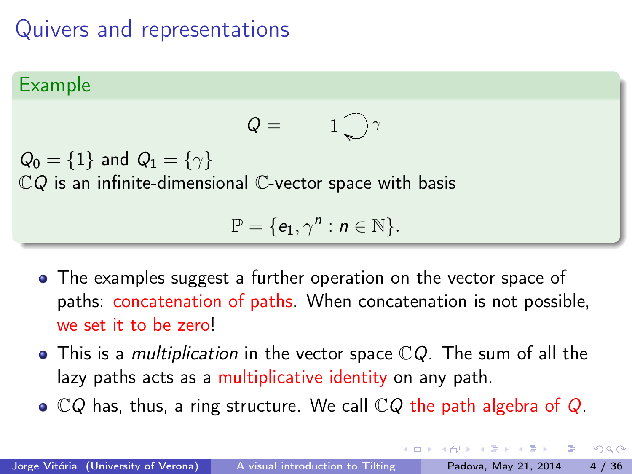# Example  $Q = \begin{pmatrix} 1 \\ 1 \end{pmatrix}$  $Q_0 = \{1\}$  and  $Q_1 = \{\gamma\}$  $\mathbb{C}$ Q is an infinite-dimensional  $\mathbb{C}$ -vector space with basis  $\mathbb{P} = \{e_1, \gamma^n : n \in \mathbb{N}\}.$

- The examples suggest a further operation on the vector space of paths: concatenation of paths. When concatenation is not possible, we set it to be zero!
- $\bullet$  This is a *multiplication* in the vector space  $\mathbb{C}Q$ . The sum of all the lazy paths acts as a multiplicative identity on any path.
- $\bullet$   $\mathbb{C}Q$  has, thus, a ring structure. We call  $\mathbb{C}Q$  the path algebra of Q.

- 3

 $\Omega$ 

( ロ ) ( 何 ) ( ヨ ) ( ヨ )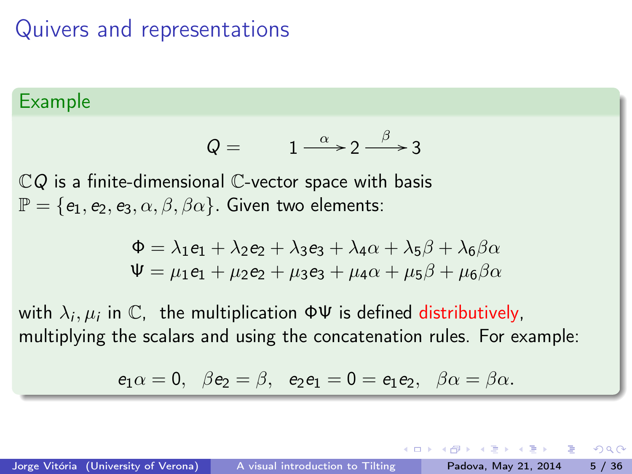#### Example

$$
Q = 1 \xrightarrow{\alpha} 2 \xrightarrow{\beta} 3
$$

 $\mathbb{C} Q$  is a finite-dimensional  $\mathbb{C}$ -vector space with basis  $\mathbb{P} = \{e_1, e_2, e_3, \alpha, \beta, \beta\alpha\}.$  Given two elements:

$$
\Phi = \lambda_1 e_1 + \lambda_2 e_2 + \lambda_3 e_3 + \lambda_4 \alpha + \lambda_5 \beta + \lambda_6 \beta \alpha
$$
  

$$
\Psi = \mu_1 e_1 + \mu_2 e_2 + \mu_3 e_3 + \mu_4 \alpha + \mu_5 \beta + \mu_6 \beta \alpha
$$

with  $\lambda_i, \mu_i$  in  $\mathbb{C}$ , the multiplication  $\Phi \Psi$  is defined distributively, multiplying the scalars and using the concatenation rules. For example:

$$
e_1 \alpha = 0
$$
,  $\beta e_2 = \beta$ ,  $e_2 e_1 = 0 = e_1 e_2$ ,  $\beta \alpha = \beta \alpha$ .

ヨメ メラメ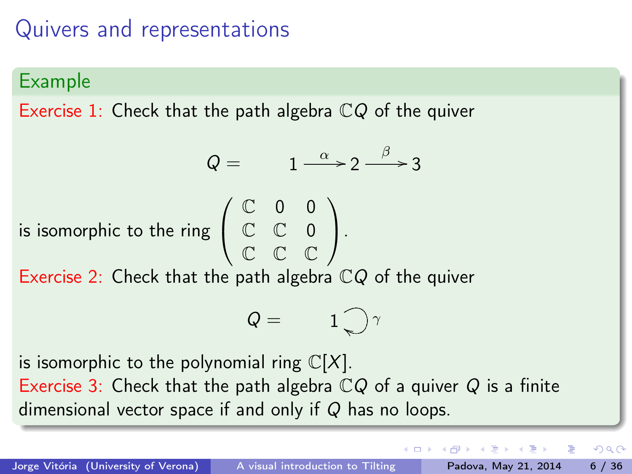#### Example

Exercise 1: Check that the path algebra  $\mathbb{C} Q$  of the quiver

$$
Q = 1 \xrightarrow{\alpha} 2 \xrightarrow{\beta} 3
$$

 $\setminus$  $\cdot$ 

is isomorphic to the ring  $\mathcal{L}$ C 0 0  $\mathbb{C}$   $\mathbb{C}$  0 C C C

Exercise 2: Check that the path algebra  $\mathbb{C} Q$  of the quiver

 $\sqrt{ }$ 

$$
Q = \qquad 1 \bigcirc \gamma
$$

is isomorphic to the polynomial ring  $\mathbb{C}[X]$ . Exercise 3: Check that the path algebra  $\mathbb{C}Q$  of a quiver Q is a finite dimensional vector space if and only if Q has no loops.

 $200$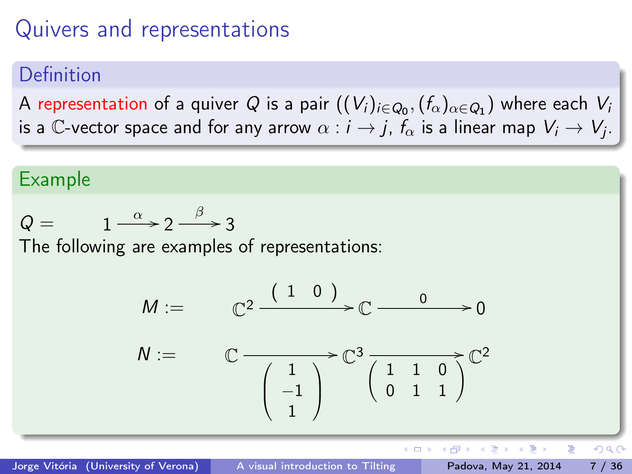#### Definition

A representation of a quiver  $Q$  is a pair  $((V_i)_{i\in Q_0},(f_\alpha)_{\alpha\in Q_1})$  where each  $V_i$ is a C-vector space and for any arrow  $\alpha:i\rightarrow j,$   $\bar{f}_{\alpha}$  is a linear map  $V_i\rightarrow V_j.$ 

#### Example

$$
Q = 1 \xrightarrow{\alpha} 2 \xrightarrow{\beta} 3
$$

The following are examples of representations:

$$
M := \qquad \mathbb{C}^2 \xrightarrow{\begin{pmatrix} 1 & 0 \end{pmatrix}} \mathbb{C} \xrightarrow{0} 0
$$

$$
N := \qquad \mathbb{C} \xrightarrow{\begin{pmatrix} 1 \\ -1 \\ 1 \end{pmatrix}} \mathbb{C}^3 \xrightarrow{\begin{pmatrix} 1 & 1 & 0 \\ 0 & 1 & 1 \end{pmatrix}} \mathbb{C}^2
$$

 $\blacksquare$ 

向

→ 重→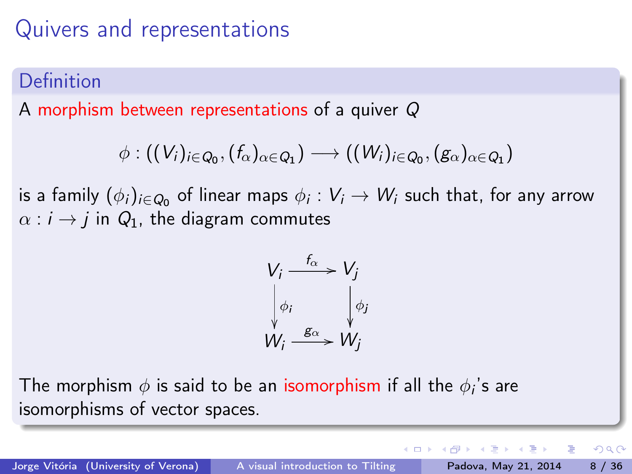#### Definition

A morphism between representations of a quiver Q

$$
\phi:((V_i)_{i\in Q_0},(f_\alpha)_{\alpha\in Q_1})\longrightarrow ((W_i)_{i\in Q_0},(g_\alpha)_{\alpha\in Q_1})
$$

is a family  $(\phi_i)_{i\in Q_0}$  of linear maps  $\phi_i: V_i\to W_i$  such that, for any arrow  $\alpha$  :  $i \rightarrow j$  in  $Q_1$ , the diagram commutes

$$
V_i \xrightarrow{f_\alpha} V_j
$$
  
\n
$$
\begin{array}{ccc}\n\downarrow & \downarrow & \downarrow \\
\downarrow & \downarrow & \downarrow \\
W_i \xrightarrow{g_\alpha} & W_j\n\end{array}
$$

The morphism  $\phi$  is said to be an isomorphism if all the  $\phi_i$ 's are isomorphisms of vector spaces.

a mills.

医下环医下

 $200$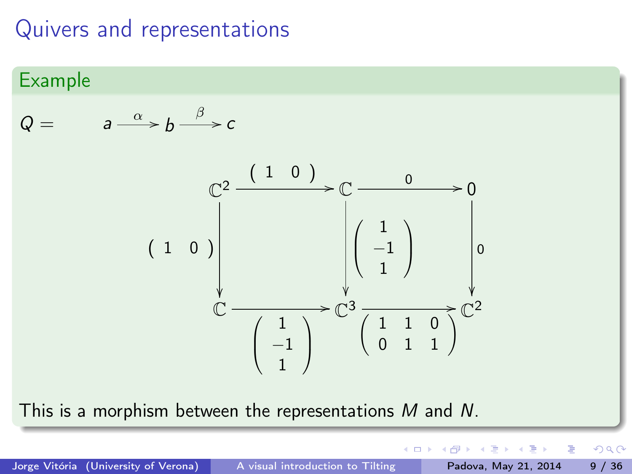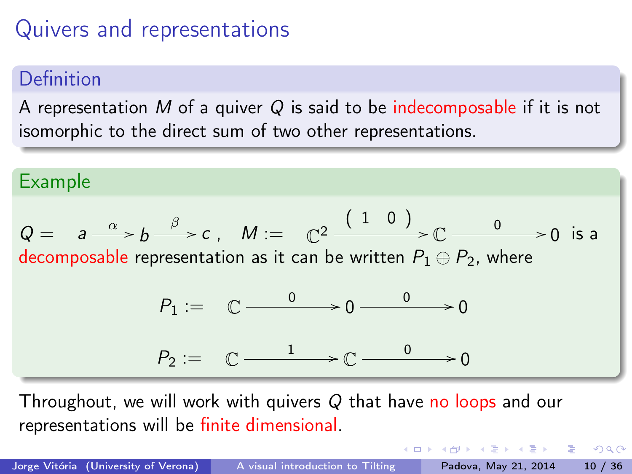#### Definition

A representation M of a quiver Q is said to be indecomposable if it is not isomorphic to the direct sum of two other representations.

Example  
\n
$$
Q = a \xrightarrow{\alpha} b \xrightarrow{\beta} c, \quad M := C^2 \xrightarrow{(1 \ 0)} C \xrightarrow{0} 0 \text{ is adecomposable representation as it can be written } P_1 \oplus P_2, \text{ where}
$$
\n
$$
P_1 := C \xrightarrow{0} 0 \xrightarrow{0} 0
$$
\n
$$
P_2 := C \xrightarrow{1} C \xrightarrow{0} 0
$$

Throughout, we will work with quivers  $Q$  that have no loops and our representations will be finite dimensional.

Jorge Vitória (University of Verona) [A visual introduction to Tilting](#page-0-0) Padova, May 21, 2014 10 / 36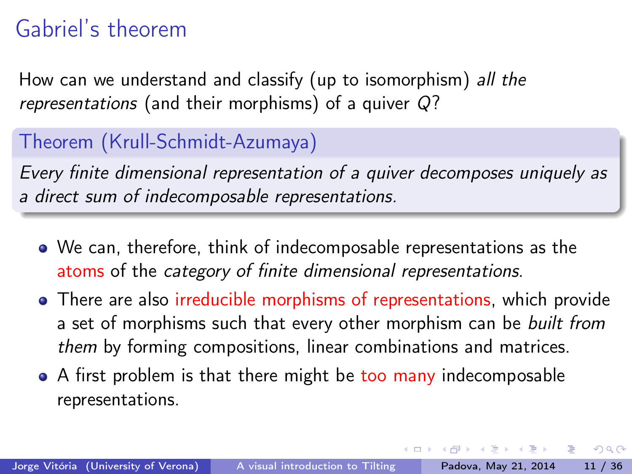How can we understand and classify (up to isomorphism) all the representations (and their morphisms) of a quiver  $Q$ ?

#### Theorem (Krull-Schmidt-Azumaya)

Every finite dimensional representation of a quiver decomposes uniquely as a direct sum of indecomposable representations.

- We can, therefore, think of indecomposable representations as the atoms of the category of finite dimensional representations.
- There are also irreducible morphisms of representations, which provide a set of morphisms such that every other morphism can be *built from* them by forming compositions, linear combinations and matrices.
- A first problem is that there might be too many indecomposable representations.

化重氮 化重氮

4 **D** F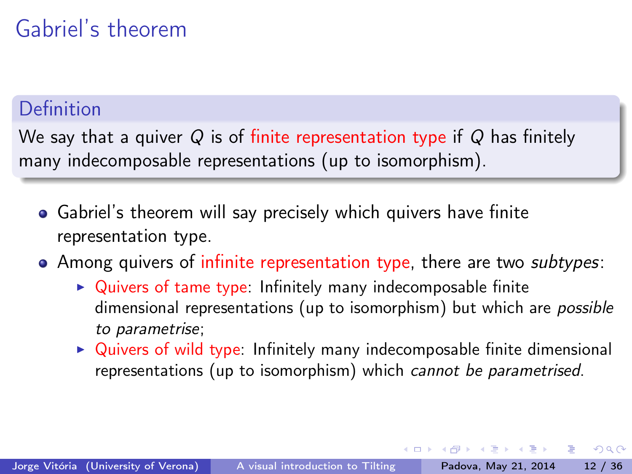#### Definition

We say that a quiver Q is of finite representation type if Q has finitely many indecomposable representations (up to isomorphism).

- Gabriel's theorem will say precisely which quivers have finite representation type.
- Among quivers of infinite representation type, there are two *subtypes*:
	- $\triangleright$  Quivers of tame type: Infinitely many indecomposable finite dimensional representations (up to isomorphism) but which are possible to parametrise;
	- $\triangleright$  Quivers of wild type: Infinitely many indecomposable finite dimensional representations (up to isomorphism) which cannot be parametrised.

 $\leftarrow$   $\Box$ 

医毛囊 医牙囊 医心包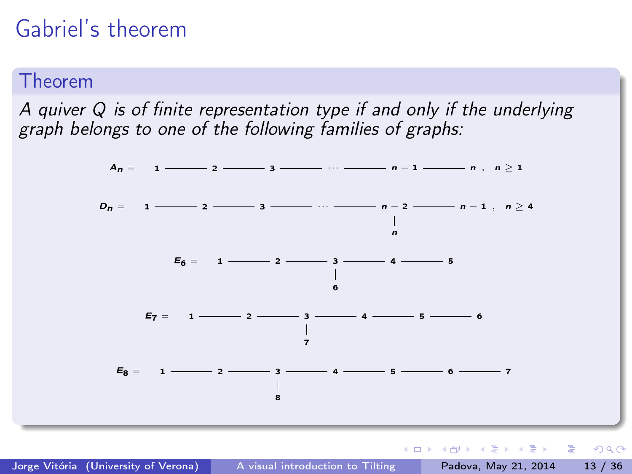#### Theorem

A quiver Q is of finite representation type if and only if the underlying graph belongs to one of the following families of graphs:

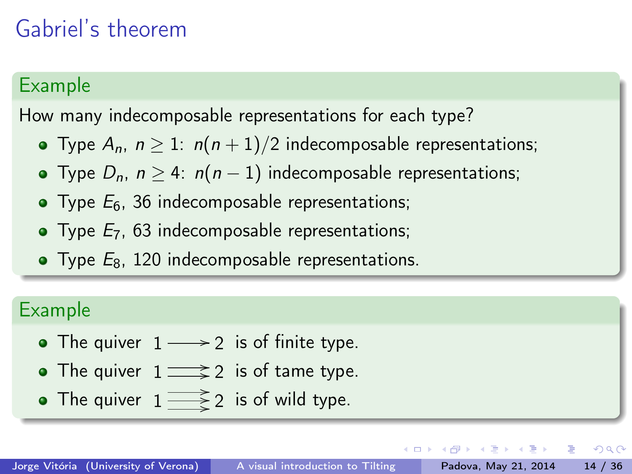#### Example

How many indecomposable representations for each type?

- Type  $A_n$ ,  $n \geq 1$ :  $n(n+1)/2$  indecomposable representations;
- Type  $D_n$ ,  $n \geq 4$ :  $n(n-1)$  indecomposable representations;
- $\bullet$  Type  $E_6$ , 36 indecomposable representations;
- $\bullet$  Type  $E_7$ , 63 indecomposable representations;
- $\bullet$  Type  $E_8$ , 120 indecomposable representations.

#### Example

- The quiver  $1 \longrightarrow 2$  is of finite type.
- The quiver  $1 \longrightarrow 2$  is of tame type.
- The quiver  $1 \overrightarrow{=} 2$  is of wild type.

4 **D** F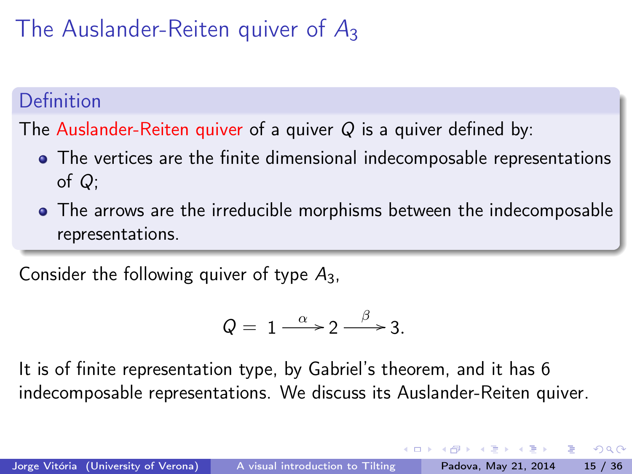# The Auslander-Reiten quiver of A<sub>3</sub>

#### Definition

The Auslander-Reiten quiver of a quiver  $Q$  is a quiver defined by:

- The vertices are the finite dimensional indecomposable representations of Q;
- The arrows are the irreducible morphisms between the indecomposable representations.

Consider the following quiver of type  $A_3$ ,

$$
Q = 1 \xrightarrow{\alpha} 2 \xrightarrow{\beta} 3.
$$

It is of finite representation type, by Gabriel's theorem, and it has 6 indecomposable representations. We discuss its Auslander-Reiten quiver.

ヨメ メヨメ

 $200$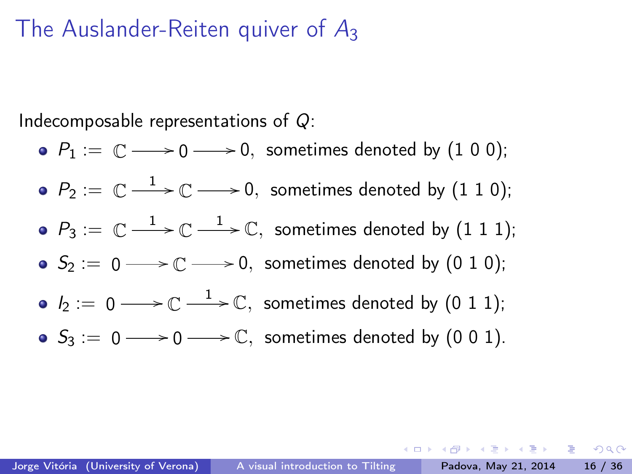### The Auslander-Reiten quiver of A<sup>3</sup>

Indecomposable representations of Q:

 $P_1 := \mathbb{C} \longrightarrow 0 \longrightarrow 0$ , sometimes denoted by  $(1\; 0\; 0);$  $P_2:=\; \mathbb{C}\longrightarrow \mathbb{C} \longrightarrow 0, \;$  sometimes denoted by  $(1\; 1\; 0);$  $P_3:=\mathbb{C}\xrightarrow{1} \mathbb{C}\xrightarrow{1} \mathbb{C},$  sometimes denoted by  $(1\; 1\; 1);$  $\mathcal{S}_2:=0{\longrightarrow\!\!\!\!\longrightarrow} \mathbb{C}{\longrightarrow\!\!\!\!\longrightarrow} 0, \ \text{ sometimes denoted by (0 1 0)};$  $\mathit{H}_2:=\ 0\longrightarrow\mathbb{C}\stackrel{1}{\longrightarrow}\mathbb{C},\,$  sometimes denoted by  $(0\ 1\ 1);$  $S_3 := 0 \longrightarrow 0 \longrightarrow \mathbb{C}$ , sometimes denoted by  $(0\ 0\ 1)$ .

**KORKAN KERKER SAGA**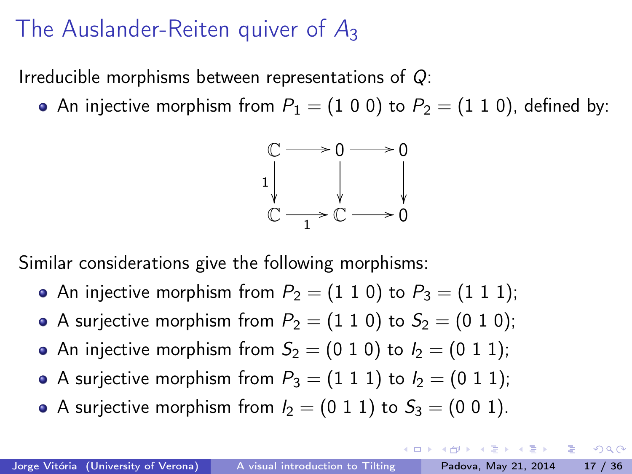# The Auslander-Reiten quiver of  $A_3$

Irreducible morphisms between representations of  $Q$ :

• An injective morphism from  $P_1 = (1\ 0\ 0)$  to  $P_2 = (1\ 1\ 0)$ , defined by:



Similar considerations give the following morphisms:

- An injective morphism from  $P_2 = (1\ 1\ 0)$  to  $P_3 = (1\ 1\ 1)$ ;
- A surjective morphism from  $P_2 = (1 1 0)$  to  $S_2 = (0 1 0)$ ;
- An injective morphism from  $S_2 = (0 1 0)$  to  $I_2 = (0 1 1)$ ;
- A surjective morphism from  $P_3 = (1\ 1\ 1)$  to  $I_2 = (0\ 1\ 1)$ ;
- A surjective morphism from  $I_2 = (0 \ 1 \ 1)$  to  $S_3 = (0 \ 0 \ 1)$ .

э.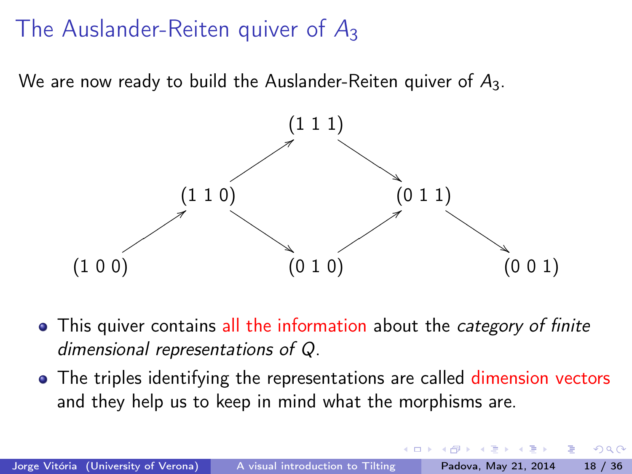## The Auslander-Reiten quiver of A<sup>3</sup>

We are now ready to build the Auslander-Reiten quiver of  $A_3$ .



- This quiver contains all the information about the category of finite dimensional representations of Q.
- The triples identifying the representations are called dimension vectors and they help us to keep in mind what the morphisms are.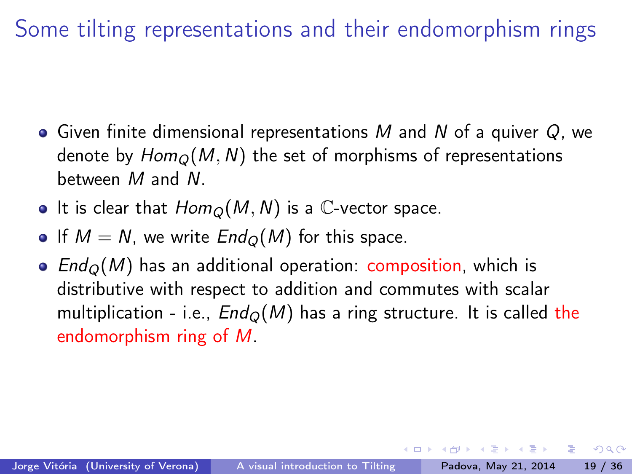- Given finite dimensional representations M and N of a quiver  $Q$ , we denote by  $Hom_{\mathcal{O}}(M,N)$  the set of morphisms of representations between M and N.
- It is clear that  $Hom_Q(M, N)$  is a C-vector space.
- If  $M = N$ , we write  $End<sub>Q</sub>(M)$  for this space.
- $End<sub>O</sub>(M)$  has an additional operation: composition, which is distributive with respect to addition and commutes with scalar multiplication - i.e.,  $End<sub>O</sub>(M)$  has a ring structure. It is called the endomorphism ring of M.

4 D F

化重氮 化重氮

 $200$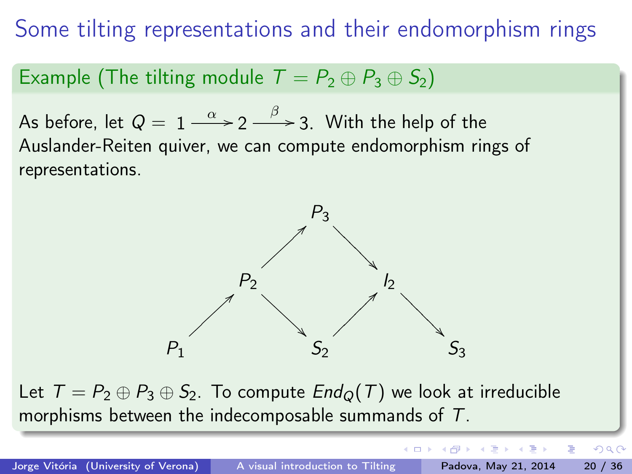#### Example (The tilting module  $T = P_2 \oplus P_3 \oplus S_2$ )

As before, let  $Q = 1 \xrightarrow{\alpha} 2 \xrightarrow{\beta} 3$ . With the help of the Auslander-Reiten quiver, we can compute endomorphism rings of representations.



Let  $T = P_2 \oplus P_3 \oplus S_2$ . To compute  $End_Q(T)$  we look at irreducible morphisms between the indecomposable summands of T.

Jorge Vitória (University of Verona) [A visual introduction to Tilting](#page-0-0) Padova, May 21, 2014 20 / 36

 $\mathcal{A} \cong \mathcal{B} \times \mathcal{A} \cong \mathcal{B}$ 

( □ ) ( <sub>○</sub> )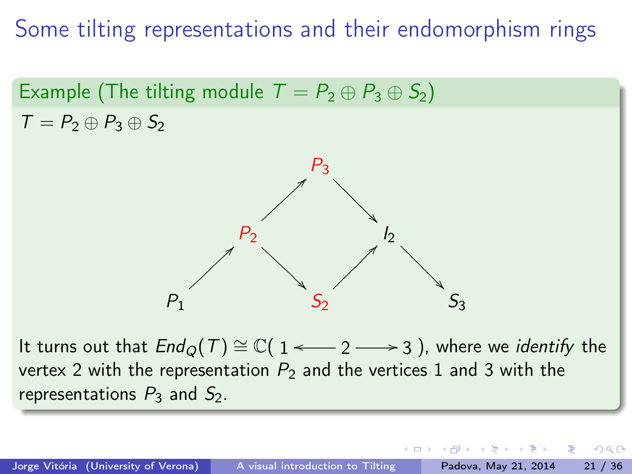Example (The tilting module  $T = P_2 \oplus P_3 \oplus S_2$ )  $T = P_2 \oplus P_3 \oplus S_2$ 



It turns out that  $End<sub>O</sub>(T) \cong \mathbb{C}$  (1  $\longleftarrow$  2  $\longrightarrow$  3), where we *identify* the vertex 2 with the representation  $P_2$  and the vertices 1 and 3 with the representations  $P_3$  and  $S_2$ .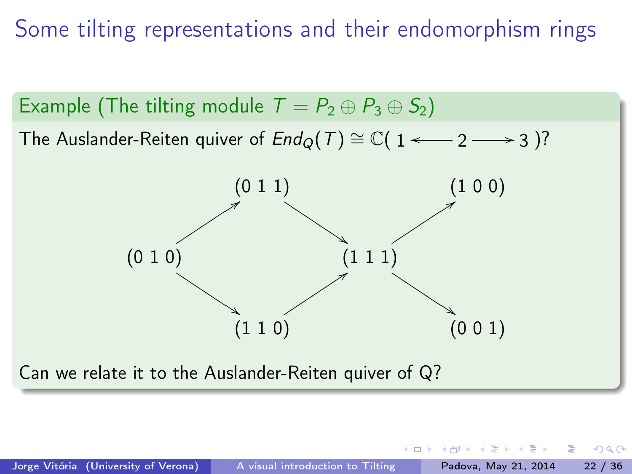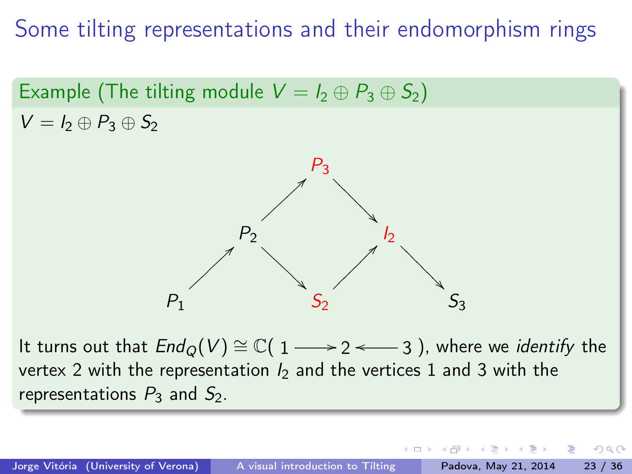Example (The tilting module  $V = I_2 \oplus P_3 \oplus S_2$ )  $V = I_2 \oplus P_3 \oplus S_2$ 



It turns out that  $\mathit{End}_Q(V)\cong \mathbb{C}(\ 1\longrightarrow 2\ \leftarrow 3$  ), where we *identify* the vertex 2 with the representation  $I_2$  and the vertices 1 and 3 with the representations  $P_3$  and  $S_2$ .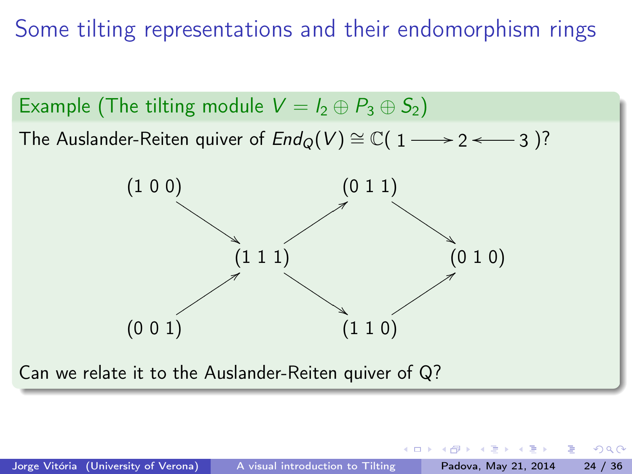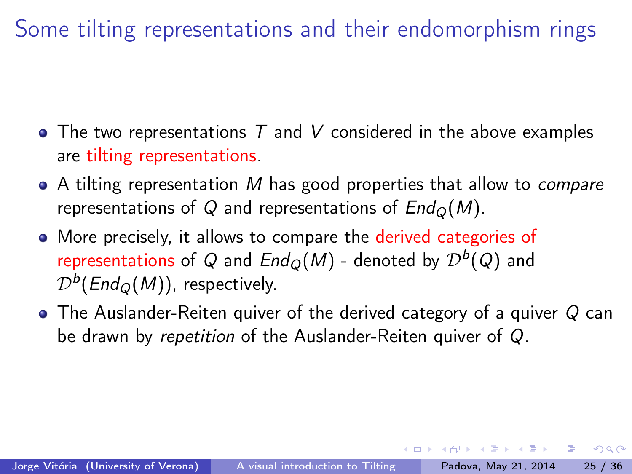- The two representations  $T$  and  $V$  considered in the above examples are tilting representations.
- $\bullet$  A tilting representation M has good properties that allow to *compare* representations of Q and representations of  $End<sub>O</sub>(M)$ .
- More precisely, it allows to compare the derived categories of representations of  $Q$  and  $\mathit{End}_Q(M)$  - denoted by  $\mathcal{D}^b(Q)$  and  $\mathcal{D}^{b}(\mathit{End}_{Q}(M))$ , respectively.
- The Auslander-Reiten quiver of the derived category of a quiver Q can be drawn by repetition of the Auslander-Reiten quiver of Q.

化重氮 化重氮

4 D F

 $200$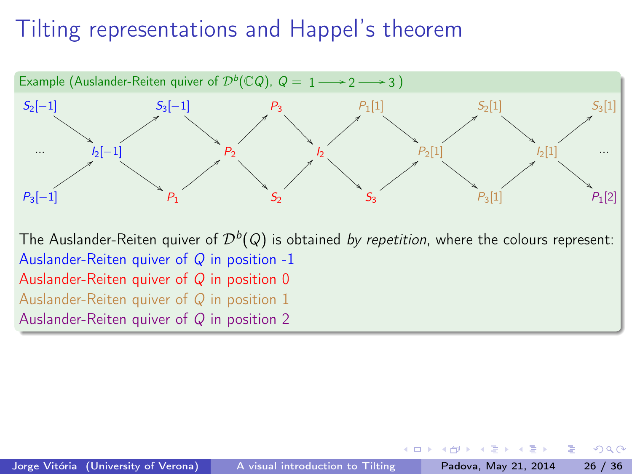

Auslander-Reiten quiver of <sup>Q</sup> in position 1

Auslander-Reiten quiver of <sup>Q</sup> in position 2

 $\leftarrow$   $\Box$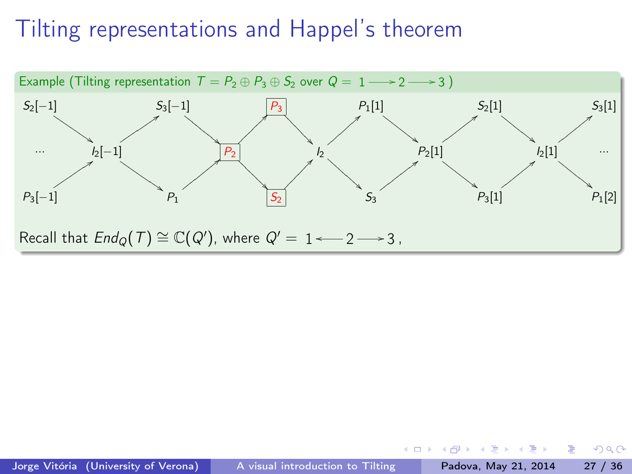

4 0 8

÷  $\rightarrow$   $\rightarrow$   $\rightarrow$   $QQ$ 

э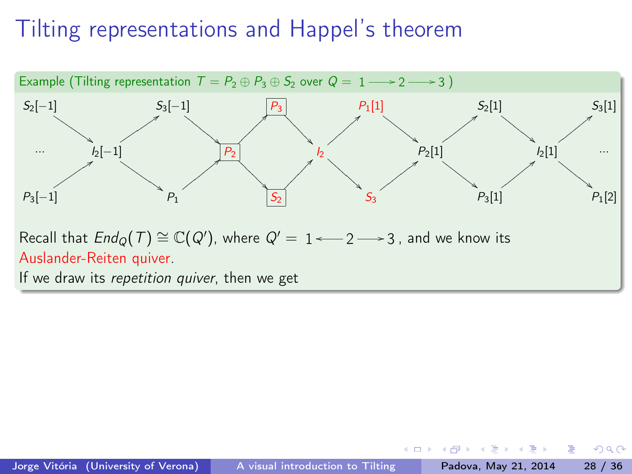

4 D F

 $\sim$  $\rightarrow$   $\equiv$   $\rightarrow$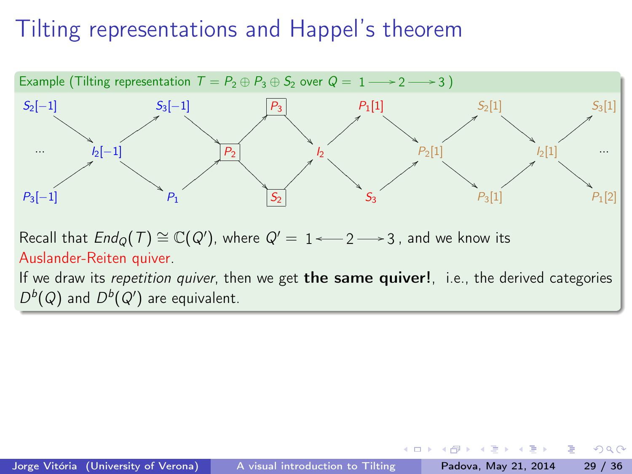

If we draw its repetition quiver, then we get the same quiver!, i.e., the derived categories  $D^{b}(Q)$  and  $D^{b}(Q')$  are equivalent.

 $\leftarrow$   $\Box$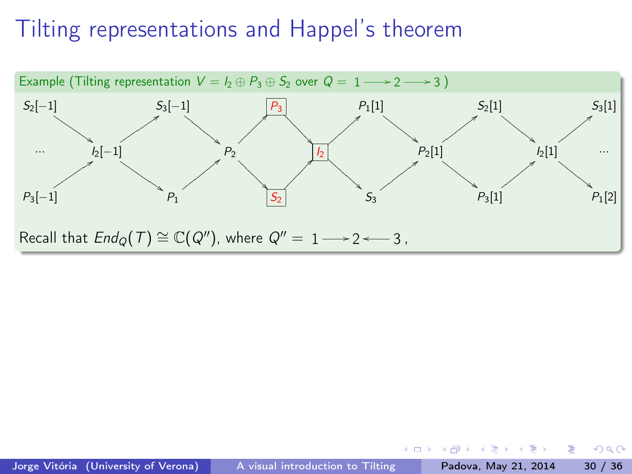

4 0 8

 $QQ$ 

э

医下环医下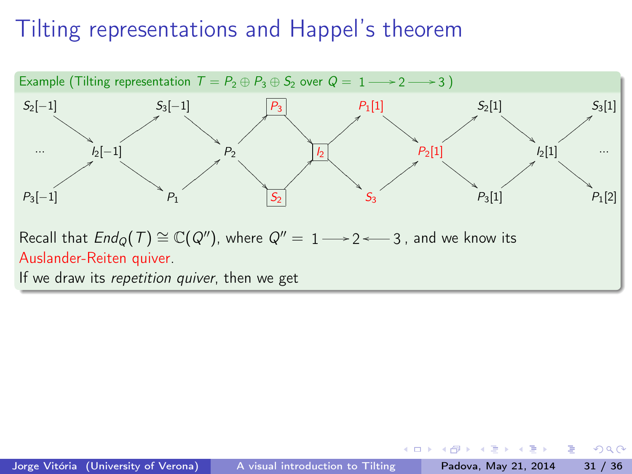

 $\leftarrow$   $\Box$ 

 $\sim$  $\rightarrow$   $\equiv$   $\rightarrow$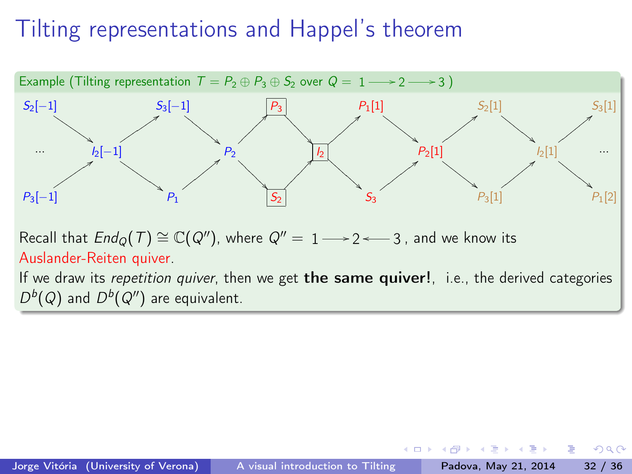

If we draw its repetition quiver, then we get the same quiver!, i.e., the derived categories  $D^{b}(Q)$  and  $D^{b}(Q'')$  are equivalent.

 $\leftarrow$   $\Box$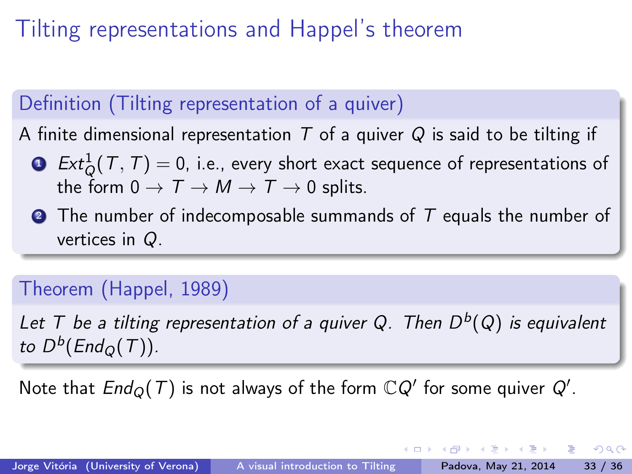### Definition (Tilting representation of a quiver)

A finite dimensional representation T of a quiver Q is said to be tilting if

- $\bullet \; Ext^1_Q(\mathcal{T},\mathcal{T}) = 0$ , i.e., every short exact sequence of representations of the form  $0 \to T \to M \to T \to 0$  splits.
- **2** The number of indecomposable summands of T equals the number of vertices in Q.

#### Theorem (Happel, 1989)

Let T be a tilting representation of a quiver Q. Then  $D^b(Q)$  is equivalent to  $D^b(\text{End}_Q(T))$ .

Note that  $End_Q(T)$  is not always of the form  $\mathbb{C} Q'$  for some quiver  $Q'$ .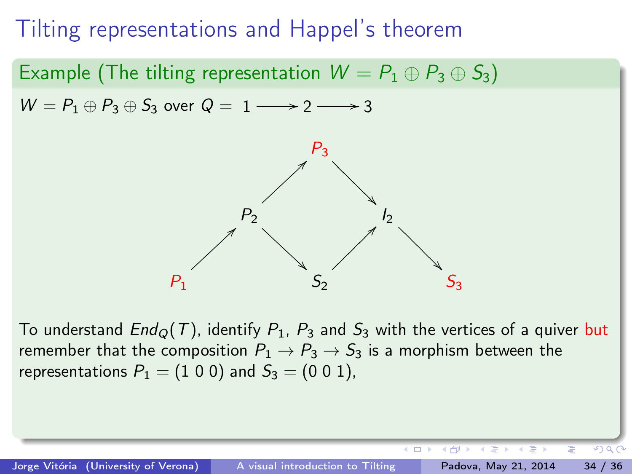Example (The tilting representation  $W = P_1 \oplus P_3 \oplus S_3$ )  $W = P_1 \oplus P_3 \oplus S_3$  over  $Q = 1 \longrightarrow 2 \longrightarrow 3$ 



To understand  $End_{\mathcal{O}}(T)$ , identify  $P_1$ ,  $P_3$  and  $S_3$  with the vertices of a quiver but remember that the composition  $P_1 \rightarrow P_3 \rightarrow S_3$  is a morphism between the representations  $P_1 = (1 0 0)$  and  $S_3 = (0 0 1)$ ,

 $\leftarrow$   $\Box$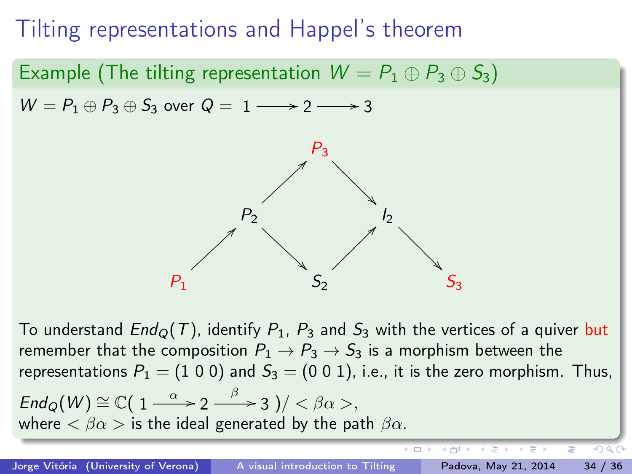Example (The tilting representation  $W = P_1 \oplus P_3 \oplus S_3$ )

 $W = P_1 \oplus P_3 \oplus S_3$  over  $Q = 1 \longrightarrow 2 \longrightarrow 3$ 



To understand  $End_{\mathcal{O}}(T)$ , identify  $P_1$ ,  $P_3$  and  $S_3$  with the vertices of a quiver but remember that the composition  $P_1 \rightarrow P_3 \rightarrow S_3$  is a morphism between the representations  $P_1 = (1 0 0)$  and  $S_3 = (0 0 1)$ , i.e., it is the zero morphism. Thus,

$$
End_Q(W) \cong \mathbb{C} \big( 1 \xrightarrow{\alpha} 2 \xrightarrow{\beta} 3 \big) / \langle \beta \alpha \rangle,
$$
  
where  $\langle \beta \alpha \rangle$  is the ideal generated by the path  $\beta \alpha$ .

 $\leftarrow$   $\Box$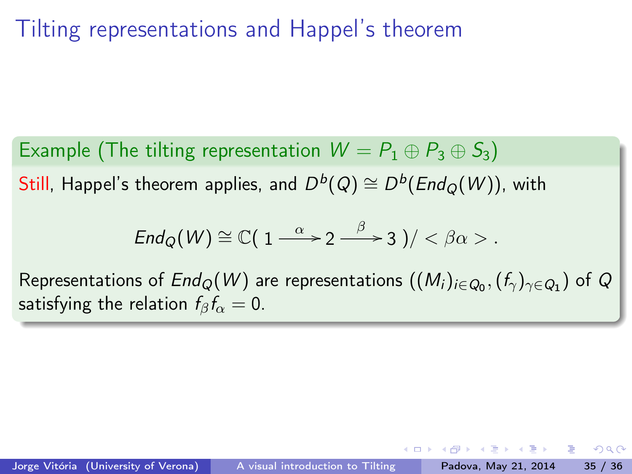Example (The tilting representation  $W = P_1 \oplus P_3 \oplus S_3$ ) Still, Happel's theorem applies, and  $D^b(Q) \cong D^b(\mathit{End}_Q(W))$ , with

End ${}_{Q}(W)\cong \mathbb{C}(\ 1\stackrel{\alpha}{\longrightarrow} 2\stackrel{\beta}{\longrightarrow} 3\ )/<\beta\alpha> .$ 

Representations of  $\mathit{End}_Q(W)$  are representations  $((\mathit{M}_i)_{i\in Q_0},(f_\gamma)_{\gamma\in Q_1})$  of  $Q$ satisfying the relation  $f_\beta f_\alpha = 0$ .

おうすぎ おすぎ おし 違い